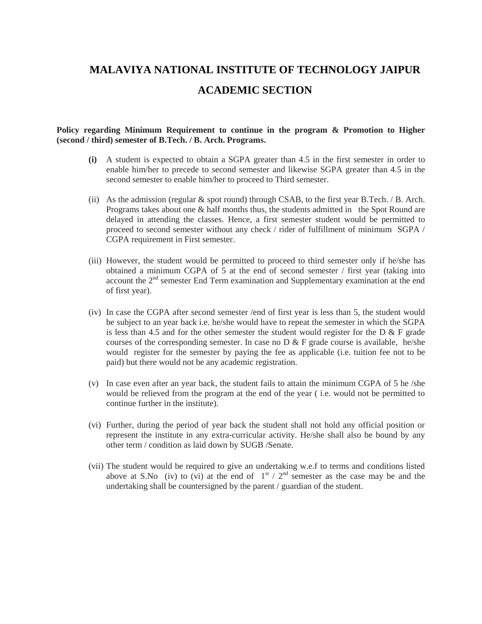# **MALAVIYA NATIONAL INSTITUTE OF TECHNOLOGY JAIPUR ACADEMIC SECTION**

#### **Policy regarding Minimum Requirement to continue in the program & Promotion to Higher (second / third) semester of B.Tech. / B. Arch. Programs.**

- **(i)** A student is expected to obtain a SGPA greater than 4.5 in the first semester in order to enable him/her to precede to second semester and likewise SGPA greater than 4.5 in the second semester to enable him/her to proceed to Third semester.
- (ii) As the admission (regular  $\&$  spot round) through CSAB, to the first year B.Tech. / B. Arch. Programs takes about one & half months thus, the students admitted in the Spot Round are delayed in attending the classes. Hence, a first semester student would be permitted to proceed to second semester without any check / rider of fulfillment of minimum SGPA / CGPA requirement in First semester.
- (iii) However, the student would be permitted to proceed to third semester only if he/she has obtained a minimum CGPA of 5 at the end of second semester / first year (taking into account the  $2<sup>nd</sup>$  semester End Term examination and Supplementary examination at the end of first year).
- (iv) In case the CGPA after second semester /end of first year is less than 5, the student would be subject to an year back i.e. he/she would have to repeat the semester in which the SGPA is less than 4.5 and for the other semester the student would register for the D  $\&$  F grade courses of the corresponding semester. In case no  $D \& F$  grade course is available, he/she would register for the semester by paying the fee as applicable (i.e. tuition fee not to be paid) but there would not be any academic registration.
- (v) In case even after an year back, the student fails to attain the minimum CGPA of 5 he /she would be relieved from the program at the end of the year ( i.e. would not be permitted to continue further in the institute).
- (vi) Further, during the period of year back the student shall not hold any official position or represent the institute in any extra-curricular activity. He/she shall also be bound by any other term / condition as laid down by SUGB /Senate.
- (vii) The student would be required to give an undertaking w.e.f to terms and conditions listed above at S.No (iv) to (vi) at the end of  $1<sup>st</sup> / 2<sup>nd</sup>$  semester as the case may be and the undertaking shall be countersigned by the parent / guardian of the student.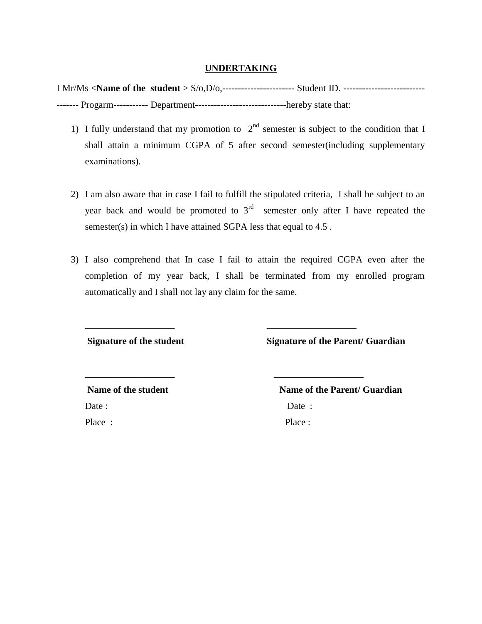## **UNDERTAKING**

I Mr/Ms <**Name of the student** > S/o,D/o,----------------------- Student ID. -------------------------- ------- Progarm----------- Department-----------------------------hereby state that:

- 1) I fully understand that my promotion to  $2<sup>nd</sup>$  semester is subject to the condition that I shall attain a minimum CGPA of 5 after second semester(including supplementary examinations).
- 2) I am also aware that in case I fail to fulfill the stipulated criteria, I shall be subject to an year back and would be promoted to  $3<sup>rd</sup>$  semester only after I have repeated the semester(s) in which I have attained SGPA less that equal to 4.5 .
- 3) I also comprehend that In case I fail to attain the required CGPA even after the completion of my year back, I shall be terminated from my enrolled program automatically and I shall not lay any claim for the same.

\_\_\_\_\_\_\_\_\_\_\_\_\_\_\_\_\_\_\_ \_\_\_\_\_\_\_\_\_\_\_\_\_\_\_\_\_\_\_

\_\_\_\_\_\_\_\_\_\_\_\_\_\_\_\_\_\_\_ \_\_\_\_\_\_\_\_\_\_\_\_\_\_\_\_\_\_\_

**Signature of the student Signature of the Parent/ Guardian** 

Date : Date : Place : Place :

Name of the student Name of the Parent/ Guardian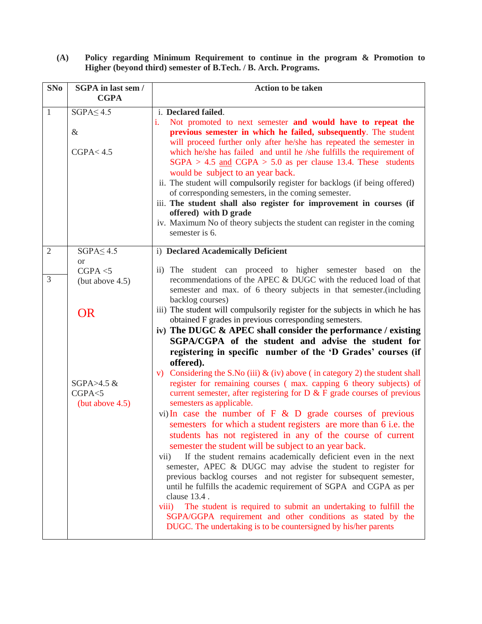**(A) Policy regarding Minimum Requirement to continue in the program & Promotion to Higher (beyond third) semester of B.Tech. / B. Arch. Programs.**

| <b>SNo</b>          | <b>SGPA</b> in last sem /<br><b>CGPA</b>                       | <b>Action to be taken</b>                                                                                                                                                                                                                                                                                                                                                                                                                                                                                                                                                                                                                                                                                                                                                                                                                                                                                                                                                                                                                                    |
|---------------------|----------------------------------------------------------------|--------------------------------------------------------------------------------------------------------------------------------------------------------------------------------------------------------------------------------------------------------------------------------------------------------------------------------------------------------------------------------------------------------------------------------------------------------------------------------------------------------------------------------------------------------------------------------------------------------------------------------------------------------------------------------------------------------------------------------------------------------------------------------------------------------------------------------------------------------------------------------------------------------------------------------------------------------------------------------------------------------------------------------------------------------------|
| $\mathbf{1}$        | $SGPA \leq 4.5$<br>$\&$<br>CGPA < 4.5                          | i. Declared failed.<br>i.<br>Not promoted to next semester and would have to repeat the<br>previous semester in which he failed, subsequently. The student<br>will proceed further only after he/she has repeated the semester in<br>which he/she has failed and until he /she fulfills the requirement of<br>$SGPA > 4.5$ and $CGPA > 5.0$ as per clause 13.4. These students<br>would be subject to an year back.<br>ii. The student will compulsorily register for backlogs (if being offered)<br>of corresponding semesters, in the coming semester.<br>iii. The student shall also register for improvement in courses (if<br>offered) with D grade<br>iv. Maximum No of theory subjects the student can register in the coming<br>semester is 6.                                                                                                                                                                                                                                                                                                       |
| $\overline{2}$<br>3 | $SGPA \leq 4.5$<br><b>or</b><br>CGPA < 5<br>(but above $4.5$ ) | i) Declared Academically Deficient<br>ii) The student can proceed to higher semester based on the<br>recommendations of the APEC & DUGC with the reduced load of that                                                                                                                                                                                                                                                                                                                                                                                                                                                                                                                                                                                                                                                                                                                                                                                                                                                                                        |
|                     | <b>OR</b>                                                      | semester and max. of 6 theory subjects in that semester.(including<br>backlog courses)<br>iii) The student will compulsorily register for the subjects in which he has<br>obtained F grades in previous corresponding semesters.<br>iv) The DUGC & APEC shall consider the performance / existing<br>SGPA/CGPA of the student and advise the student for<br>registering in specific number of the 'D Grades' courses (if                                                                                                                                                                                                                                                                                                                                                                                                                                                                                                                                                                                                                                     |
|                     | SGPA $>4.5$ &<br>CGPA < 5<br>(but above $4.5$ )                | offered).<br>v) Considering the S.No (iii) $\&$ (iv) above (in category 2) the student shall<br>register for remaining courses (max. capping 6 theory subjects) of<br>current semester, after registering for $D \& F$ grade courses of previous<br>semesters as applicable.<br>vi) In case the number of $F \& D$ grade courses of previous<br>semesters for which a student registers are more than 6 i.e. the<br>students has not registered in any of the course of current<br>semester the student will be subject to an year back.<br>If the student remains academically deficient even in the next<br>vii)<br>semester, APEC & DUGC may advise the student to register for<br>previous backlog courses and not register for subsequent semester,<br>until he fulfills the academic requirement of SGPA and CGPA as per<br>clause 13.4.<br>The student is required to submit an undertaking to fulfill the<br>viii)<br>SGPA/GGPA requirement and other conditions as stated by the<br>DUGC. The undertaking is to be countersigned by his/her parents |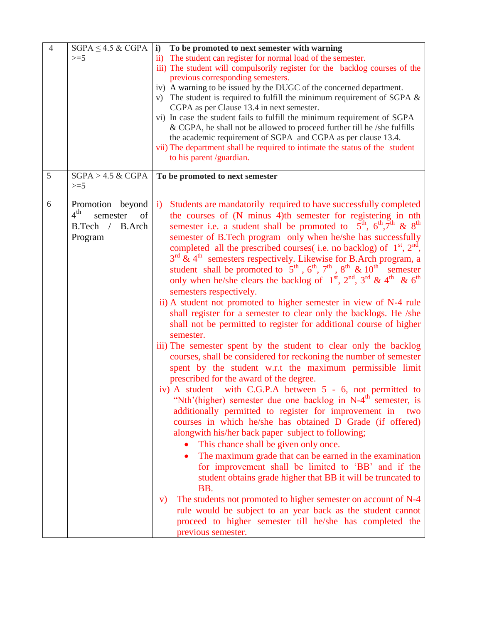| $\overline{4}$ | $SGPA \leq 4.5 \& CGPA$<br>$>=$ 5                                                   | $\mathbf{i}$<br>To be promoted to next semester with warning<br>The student can register for normal load of the semester.<br>$\overline{ii}$<br>iii) The student will compulsorily register for the backlog courses of the<br>previous corresponding semesters.<br>iv) A warning to be issued by the DUGC of the concerned department.<br>v) The student is required to fulfill the minimum requirement of SGPA $\&$<br>CGPA as per Clause 13.4 in next semester.<br>vi) In case the student fails to fulfill the minimum requirement of SGPA<br>& CGPA, he shall not be allowed to proceed further till he /she fulfills<br>the academic requirement of SGPA and CGPA as per clause 13.4.<br>vii) The department shall be required to intimate the status of the student<br>to his parent /guardian.                                                                                                                                                                                                                                                                                                                                                                                                                                                                                                                                                                                                                                                                                                                                                                                                                                                                                                                                                                                                                                                                                                                                                                                     |
|----------------|-------------------------------------------------------------------------------------|-------------------------------------------------------------------------------------------------------------------------------------------------------------------------------------------------------------------------------------------------------------------------------------------------------------------------------------------------------------------------------------------------------------------------------------------------------------------------------------------------------------------------------------------------------------------------------------------------------------------------------------------------------------------------------------------------------------------------------------------------------------------------------------------------------------------------------------------------------------------------------------------------------------------------------------------------------------------------------------------------------------------------------------------------------------------------------------------------------------------------------------------------------------------------------------------------------------------------------------------------------------------------------------------------------------------------------------------------------------------------------------------------------------------------------------------------------------------------------------------------------------------------------------------------------------------------------------------------------------------------------------------------------------------------------------------------------------------------------------------------------------------------------------------------------------------------------------------------------------------------------------------------------------------------------------------------------------------------------------------|
| 5              | $SGPA > 4.5 \& CGPA$<br>$>=5$                                                       | To be promoted to next semester                                                                                                                                                                                                                                                                                                                                                                                                                                                                                                                                                                                                                                                                                                                                                                                                                                                                                                                                                                                                                                                                                                                                                                                                                                                                                                                                                                                                                                                                                                                                                                                                                                                                                                                                                                                                                                                                                                                                                           |
| 6              | Promotion beyond<br>4 <sup>th</sup><br>semester<br>of<br>B.Tech / B.Arch<br>Program | Students are mandatorily required to have successfully completed<br>$\ddot{1}$<br>the courses of (N minus 4)th semester for registering in nth<br>semester i.e. a student shall be promoted to $5^{\text{th}}$ , $6^{\text{th}}$ , $7^{\text{th}}$ & $8^{\text{th}}$<br>semester of B.Tech program only when he/she has successfully<br>completed all the prescribed courses( i.e. no backlog) of $1^{st}$ , $2^{nd}$ ,<br>$3^{rd}$ & 4 <sup>th</sup> semesters respectively. Likewise for B.Arch program, a<br>student shall be promoted to $5th$ , $6th$ , $7th$ , $8th$ & $10th$ semester<br>only when he/she clears the backlog of $1st$ , $2nd$ , $3rd$ & $4th$ & $6th$<br>semesters respectively.<br>ii) A student not promoted to higher semester in view of N-4 rule<br>shall register for a semester to clear only the backlogs. He /she<br>shall not be permitted to register for additional course of higher<br>semester.<br>iii) The semester spent by the student to clear only the backlog<br>courses, shall be considered for reckoning the number of semester<br>spent by the student w.r.t the maximum permissible limit<br>prescribed for the award of the degree.<br>iv) A student with C.G.P.A between 5 - 6, not permitted to<br>"Nth'(higher) semester due one backlog in N-4 <sup>th</sup> semester, is<br>additionally permitted to register for improvement in<br>two<br>courses in which he/she has obtained D Grade (if offered)<br>alongwith his/her back paper subject to following;<br>This chance shall be given only once.<br>The maximum grade that can be earned in the examination<br>$\bullet$<br>for improvement shall be limited to 'BB' and if the<br>student obtains grade higher that BB it will be truncated to<br>BB.<br>The students not promoted to higher semester on account of N-4<br>V)<br>rule would be subject to an year back as the student cannot<br>proceed to higher semester till he/she has completed the<br>previous semester. |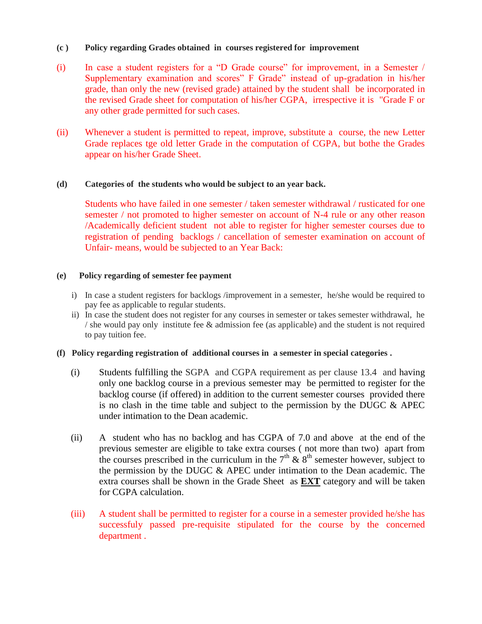## **(c ) Policy regarding Grades obtained in courses registered for improvement**

- (i) In case a student registers for a "D Grade course" for improvement, in a Semester / Supplementary examination and scores" F Grade" instead of up-gradation in his/her grade, than only the new (revised grade) attained by the student shall be incorporated in the revised Grade sheet for computation of his/her CGPA, irrespective it is "Grade F or any other grade permitted for such cases.
- (ii) Whenever a student is permitted to repeat, improve, substitute a course, the new Letter Grade replaces tge old letter Grade in the computation of CGPA, but bothe the Grades appear on his/her Grade Sheet.

## **(d) Categories of the students who would be subject to an year back.**

Students who have failed in one semester / taken semester withdrawal / rusticated for one semester / not promoted to higher semester on account of N-4 rule or any other reason /Academically deficient student not able to register for higher semester courses due to registration of pending backlogs / cancellation of semester examination on account of Unfair- means, would be subjected to an Year Back:

#### **(e) Policy regarding of semester fee payment**

- i) In case a student registers for backlogs /improvement in a semester, he/she would be required to pay fee as applicable to regular students.
- ii) In case the student does not register for any courses in semester or takes semester withdrawal, he / she would pay only institute fee & admission fee (as applicable) and the student is not required to pay tuition fee.

#### **(f) Policy regarding registration of additional courses in a semester in special categories .**

- (i) Students fulfilling the SGPA and CGPA requirement as per clause 13.4 and having only one backlog course in a previous semester may be permitted to register for the backlog course (if offered) in addition to the current semester courses provided there is no clash in the time table and subject to the permission by the DUGC  $\&$  APEC under intimation to the Dean academic.
- (ii) A student who has no backlog and has CGPA of 7.0 and above at the end of the previous semester are eligible to take extra courses ( not more than two) apart from the courses prescribed in the curriculum in the  $7<sup>th</sup>$  &  $8<sup>th</sup>$  semester however, subject to the permission by the DUGC & APEC under intimation to the Dean academic. The extra courses shall be shown in the Grade Sheet as **EXT** category and will be taken for CGPA calculation.
- (iii) A student shall be permitted to register for a course in a semester provided he/she has successfuly passed pre-requisite stipulated for the course by the concerned department .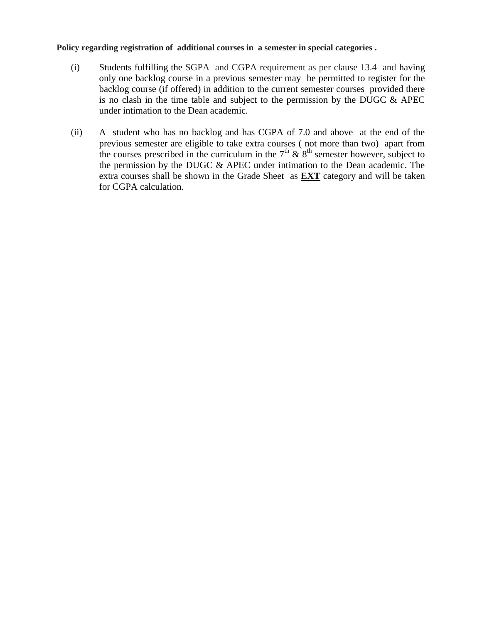### **Policy regarding registration of additional courses in a semester in special categories .**

- (i) Students fulfilling the SGPA and CGPA requirement as per clause 13.4 and having only one backlog course in a previous semester may be permitted to register for the backlog course (if offered) in addition to the current semester courses provided there is no clash in the time table and subject to the permission by the DUGC  $\&$  APEC under intimation to the Dean academic.
- (ii) A student who has no backlog and has CGPA of 7.0 and above at the end of the previous semester are eligible to take extra courses ( not more than two) apart from the courses prescribed in the curriculum in the  $7<sup>th</sup>$  &  $8<sup>th</sup>$  semester however, subject to the permission by the DUGC & APEC under intimation to the Dean academic. The extra courses shall be shown in the Grade Sheet as **EXT** category and will be taken for CGPA calculation.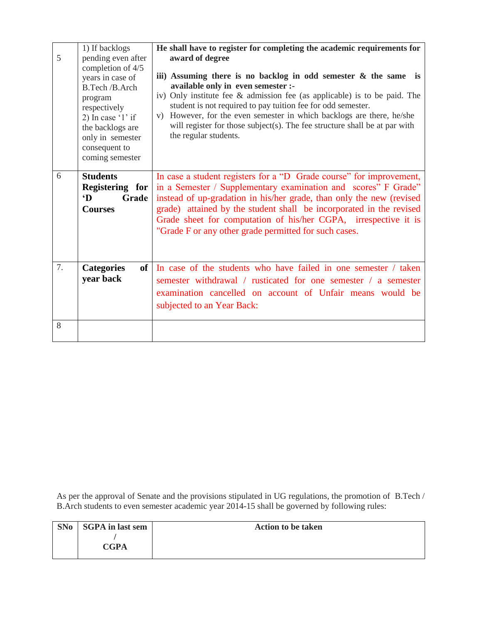|    | 1) If backlogs                                                                                                                                                                                              | He shall have to register for completing the academic requirements for                                                                                                                                                                                                                                                                                                                                                                                      |
|----|-------------------------------------------------------------------------------------------------------------------------------------------------------------------------------------------------------------|-------------------------------------------------------------------------------------------------------------------------------------------------------------------------------------------------------------------------------------------------------------------------------------------------------------------------------------------------------------------------------------------------------------------------------------------------------------|
| 5  | pending even after<br>completion of 4/5<br>years in case of<br>B.Tech /B.Arch<br>program<br>respectively<br>2) In case $'1'$ if<br>the backlogs are<br>only in semester<br>consequent to<br>coming semester | award of degree<br>iii) Assuming there is no backlog in odd semester $\&$ the same is<br>available only in even semester :-<br>iv) Only institute fee & admission fee (as applicable) is to be paid. The<br>student is not required to pay tuition fee for odd semester.<br>However, for the even semester in which backlogs are there, he/she<br>V)<br>will register for those subject(s). The fee structure shall be at par with<br>the regular students. |
| 6  | <b>Students</b><br>Registering for<br>$\mathbf{D}$<br>Grade<br><b>Courses</b>                                                                                                                               | In case a student registers for a "D Grade course" for improvement,<br>in a Semester / Supplementary examination and scores" F Grade"<br>instead of up-gradation in his/her grade, than only the new (revised<br>grade) attained by the student shall be incorporated in the revised<br>Grade sheet for computation of his/her CGPA, irrespective it is<br>"Grade F or any other grade permitted for such cases.                                            |
| 7. | of<br><b>Categories</b><br>year back                                                                                                                                                                        | In case of the students who have failed in one semester / taken<br>semester withdrawal / rusticated for one semester / a semester<br>examination cancelled on account of Unfair means would be<br>subjected to an Year Back:                                                                                                                                                                                                                                |
| 8  |                                                                                                                                                                                                             |                                                                                                                                                                                                                                                                                                                                                                                                                                                             |

As per the approval of Senate and the provisions stipulated in UG regulations, the promotion of B.Tech / B.Arch students to even semester academic year 2014-15 shall be governed by following rules:

| SNo | <b>SGPA</b> in last sem | <b>Action to be taken</b> |
|-----|-------------------------|---------------------------|
|     | <b>CGPA</b>             |                           |
|     |                         |                           |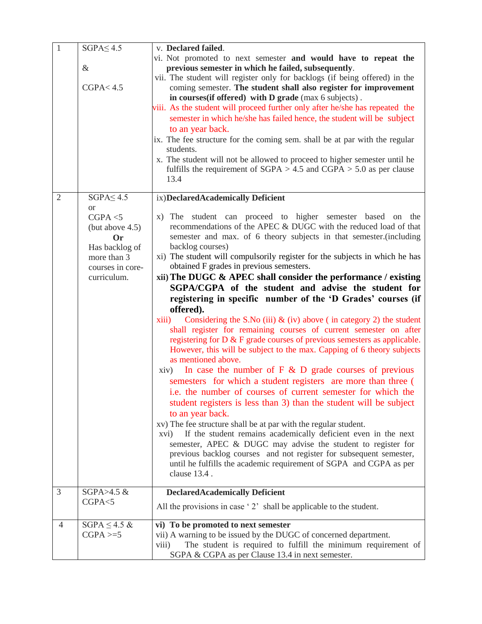| $\mathbf{1}$   | $SGPA \leq 4.5$                                                                                                           | v. Declared failed.                                                                                                                                                                                                                                                                                                                                                                                                                                                                                                                                                                                                                                                                                                                                                                                                                                                                                                                                                                                                                                                                                                                                                                                                                                                                                                                                                                                                                                                                                                                                                                   |
|----------------|---------------------------------------------------------------------------------------------------------------------------|---------------------------------------------------------------------------------------------------------------------------------------------------------------------------------------------------------------------------------------------------------------------------------------------------------------------------------------------------------------------------------------------------------------------------------------------------------------------------------------------------------------------------------------------------------------------------------------------------------------------------------------------------------------------------------------------------------------------------------------------------------------------------------------------------------------------------------------------------------------------------------------------------------------------------------------------------------------------------------------------------------------------------------------------------------------------------------------------------------------------------------------------------------------------------------------------------------------------------------------------------------------------------------------------------------------------------------------------------------------------------------------------------------------------------------------------------------------------------------------------------------------------------------------------------------------------------------------|
|                | $\&$<br>CGPA < 4.5                                                                                                        | vi. Not promoted to next semester and would have to repeat the<br>previous semester in which he failed, subsequently.<br>vii. The student will register only for backlogs (if being offered) in the<br>coming semester. The student shall also register for improvement<br>in courses (if offered) with D grade (max 6 subjects).<br>viii. As the student will proceed further only after he/she has repeated the<br>semester in which he/she has failed hence, the student will be subject<br>to an year back.<br>ix. The fee structure for the coming sem. shall be at par with the regular<br>students.<br>x. The student will not be allowed to proceed to higher semester until he<br>fulfills the requirement of $SGPA > 4.5$ and $CGPA > 5.0$ as per clause<br>13.4                                                                                                                                                                                                                                                                                                                                                                                                                                                                                                                                                                                                                                                                                                                                                                                                            |
| $\overline{2}$ | $SGPA \leq 4.5$                                                                                                           | ix)DeclaredAcademically Deficient                                                                                                                                                                                                                                                                                                                                                                                                                                                                                                                                                                                                                                                                                                                                                                                                                                                                                                                                                                                                                                                                                                                                                                                                                                                                                                                                                                                                                                                                                                                                                     |
|                | <sub>or</sub><br>CGPA < 5<br>(but above $4.5$ )<br>Or<br>Has backlog of<br>more than 3<br>courses in core-<br>curriculum. | x) The student can proceed to higher semester based on the<br>recommendations of the APEC & DUGC with the reduced load of that<br>semester and max. of 6 theory subjects in that semester. (including<br>backlog courses)<br>xi) The student will compulsorily register for the subjects in which he has<br>obtained F grades in previous semesters.<br>$xii)$ The DUGC & APEC shall consider the performance / existing<br>SGPA/CGPA of the student and advise the student for<br>registering in specific number of the 'D Grades' courses (if<br>offered).<br>Considering the S.No (iii) $\&$ (iv) above (in category 2) the student<br>xiii)<br>shall register for remaining courses of current semester on after<br>registering for $D \& F$ grade courses of previous semesters as applicable.<br>However, this will be subject to the max. Capping of 6 theory subjects<br>as mentioned above.<br>In case the number of $F \& D$ grade courses of previous<br>$\dot{x}$ iv)<br>semesters for which a student registers are more than three (<br>i.e. the number of courses of current semester for which the<br>student registers is less than 3) than the student will be subject<br>to an year back.<br>xv) The fee structure shall be at par with the regular student.<br>If the student remains academically deficient even in the next<br>xvi)<br>semester, APEC & DUGC may advise the student to register for<br>previous backlog courses and not register for subsequent semester,<br>until he fulfills the academic requirement of SGPA and CGPA as per<br>clause 13.4. |
| 3              | SGPA $>4.5$ &                                                                                                             | <b>DeclaredAcademically Deficient</b>                                                                                                                                                                                                                                                                                                                                                                                                                                                                                                                                                                                                                                                                                                                                                                                                                                                                                                                                                                                                                                                                                                                                                                                                                                                                                                                                                                                                                                                                                                                                                 |
|                | CGPA < 5                                                                                                                  | All the provisions in case '2' shall be applicable to the student.                                                                                                                                                                                                                                                                                                                                                                                                                                                                                                                                                                                                                                                                                                                                                                                                                                                                                                                                                                                                                                                                                                                                                                                                                                                                                                                                                                                                                                                                                                                    |
| 4              | $SGPA \leq 4.5 \&$                                                                                                        | vi) To be promoted to next semester                                                                                                                                                                                                                                                                                                                                                                                                                                                                                                                                                                                                                                                                                                                                                                                                                                                                                                                                                                                                                                                                                                                                                                                                                                                                                                                                                                                                                                                                                                                                                   |
|                | $CGPA \geq 5$                                                                                                             | vii) A warning to be issued by the DUGC of concerned department.                                                                                                                                                                                                                                                                                                                                                                                                                                                                                                                                                                                                                                                                                                                                                                                                                                                                                                                                                                                                                                                                                                                                                                                                                                                                                                                                                                                                                                                                                                                      |
|                |                                                                                                                           | The student is required to fulfill the minimum requirement of<br>viii)<br>SGPA & CGPA as per Clause 13.4 in next semester.                                                                                                                                                                                                                                                                                                                                                                                                                                                                                                                                                                                                                                                                                                                                                                                                                                                                                                                                                                                                                                                                                                                                                                                                                                                                                                                                                                                                                                                            |
|                |                                                                                                                           |                                                                                                                                                                                                                                                                                                                                                                                                                                                                                                                                                                                                                                                                                                                                                                                                                                                                                                                                                                                                                                                                                                                                                                                                                                                                                                                                                                                                                                                                                                                                                                                       |